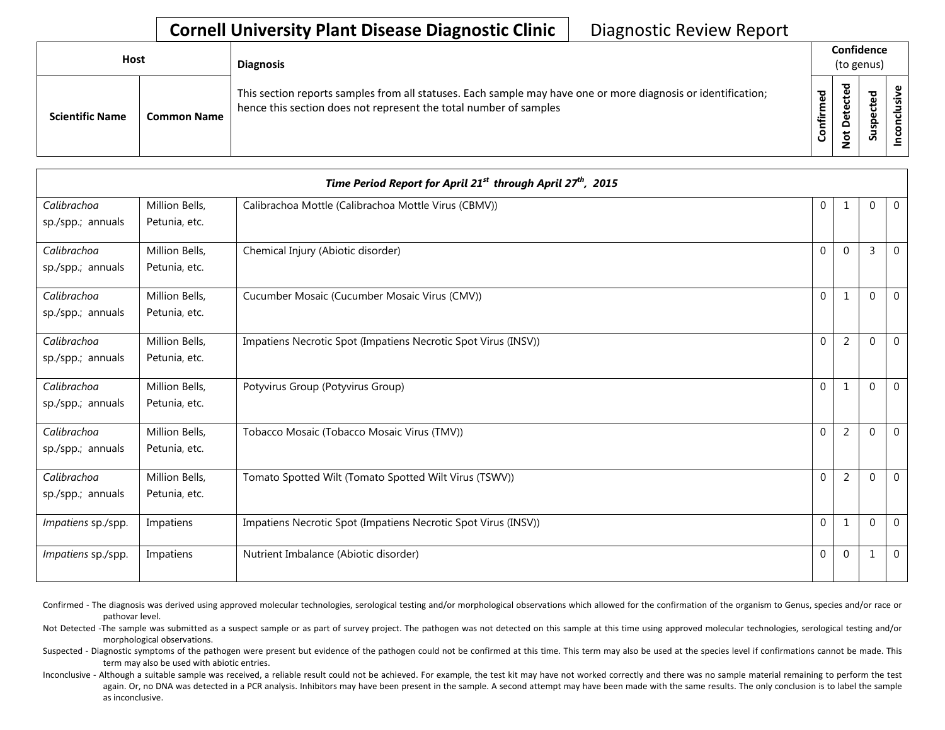## **Cornell University Plant Disease Diagnostic Clinic** | Diagnostic Review Report

| <b>Host</b>            |                    | <b>Diagnosis</b>                                                                                                                                                                   |           | Confidence<br>(to genus) |   |    |
|------------------------|--------------------|------------------------------------------------------------------------------------------------------------------------------------------------------------------------------------|-----------|--------------------------|---|----|
| <b>Scientific Name</b> | <b>Common Name</b> | This section reports samples from all statuses. Each sample may have one or more diagnosis or identification;<br>hence this section does not represent the total number of samples | Confirmed | ਠ<br>ะ<br>ى<br>۰         | S | ._ |

|                    |                | Time Period Report for April 21 <sup>st</sup> through April 27 <sup>th</sup> , 2015 |             |                |             |                |
|--------------------|----------------|-------------------------------------------------------------------------------------|-------------|----------------|-------------|----------------|
| Calibrachoa        | Million Bells, | Calibrachoa Mottle (Calibrachoa Mottle Virus (CBMV))                                | $\mathbf 0$ |                | 0           | $\mathbf{0}$   |
| sp./spp.; annuals  | Petunia, etc.  |                                                                                     |             |                |             |                |
| Calibrachoa        | Million Bells, | Chemical Injury (Abiotic disorder)                                                  | $\Omega$    | $\Omega$       | 3           | $\Omega$       |
| sp./spp.; annuals  | Petunia, etc.  |                                                                                     |             |                |             |                |
| Calibrachoa        | Million Bells, | Cucumber Mosaic (Cucumber Mosaic Virus (CMV))                                       | $\Omega$    | $\mathbf{1}$   | $\Omega$    | $\overline{0}$ |
| sp./spp.; annuals  | Petunia, etc.  |                                                                                     |             |                |             |                |
| Calibrachoa        | Million Bells, | Impatiens Necrotic Spot (Impatiens Necrotic Spot Virus (INSV))                      | $\Omega$    | 2              | $\Omega$    | $\Omega$       |
| sp./spp.; annuals  | Petunia, etc.  |                                                                                     |             |                |             |                |
| Calibrachoa        | Million Bells, | Potyvirus Group (Potyvirus Group)                                                   | $\Omega$    | $\mathbf{1}$   | $\Omega$    | $\Omega$       |
| sp./spp.; annuals  | Petunia, etc.  |                                                                                     |             |                |             |                |
| Calibrachoa        | Million Bells, | Tobacco Mosaic (Tobacco Mosaic Virus (TMV))                                         | $\Omega$    | $\overline{2}$ | $\Omega$    | $\mathbf{0}$   |
| sp./spp.; annuals  | Petunia, etc.  |                                                                                     |             |                |             |                |
| Calibrachoa        | Million Bells, | Tomato Spotted Wilt (Tomato Spotted Wilt Virus (TSWV))                              | $\Omega$    | $\overline{2}$ | $\Omega$    | $\mathbf 0$    |
| sp./spp.; annuals  | Petunia, etc.  |                                                                                     |             |                |             |                |
| Impatiens sp./spp. | Impatiens      | Impatiens Necrotic Spot (Impatiens Necrotic Spot Virus (INSV))                      | $\Omega$    | 1              | $\mathbf 0$ | $\mathbf 0$    |
| Impatiens sp./spp. | Impatiens      | Nutrient Imbalance (Abiotic disorder)                                               | $\mathbf 0$ | $\mathbf 0$    | 1           | $\overline{0}$ |

Confirmed - The diagnosis was derived using approved molecular technologies, serological testing and/or morphological observations which allowed for the confirmation of the organism to Genus, species and/or race or pathovar level.

Not Detected -The sample was submitted as a suspect sample or as part of survey project. The pathogen was not detected on this sample at this time using approved molecular technologies, serological testing and/or morphological observations.

Suspected - Diagnostic symptoms of the pathogen were present but evidence of the pathogen could not be confirmed at this time. This term may also be used at the species level if confirmations cannot be made. This term may also be used with abiotic entries.

Inconclusive - Although a suitable sample was received, a reliable result could not be achieved. For example, the test kit may have not worked correctly and there was no sample material remaining to perform the test again. Or, no DNA was detected in a PCR analysis. Inhibitors may have been present in the sample. A second attempt may have been made with the same results. The only conclusion is to label the sample as inconclusive.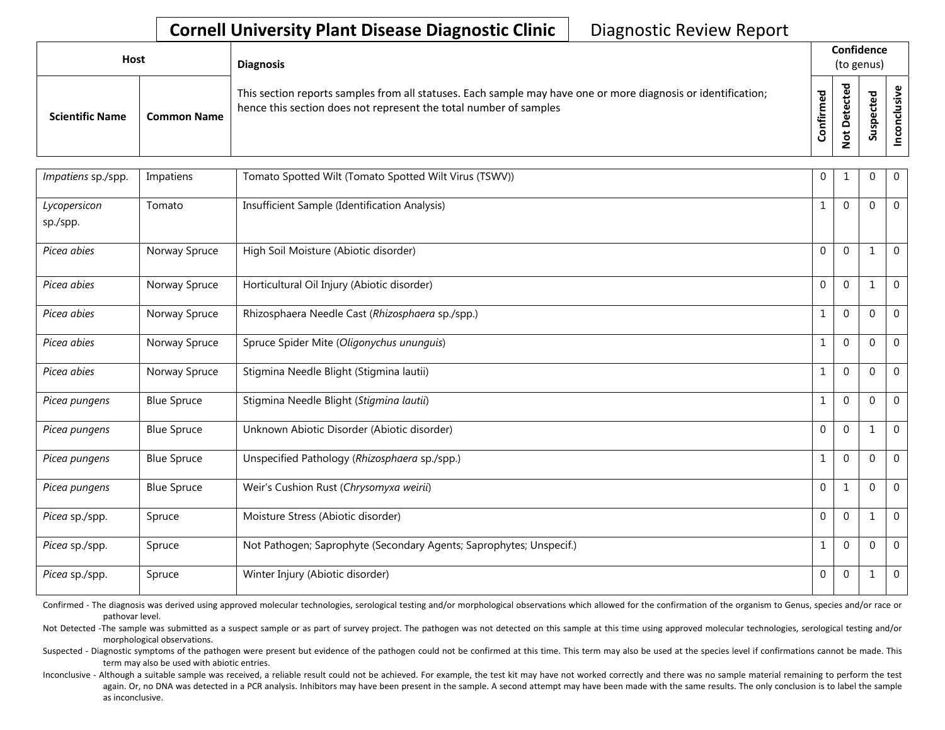## **Cornell University Plant Disease Diagnostic Clinic** | Diagnostic Review Report

| Host                   |                    | <b>Diagnosis</b>                                                                                                                                                                   |                             | Confidence<br>(to genus)             |                              |   |
|------------------------|--------------------|------------------------------------------------------------------------------------------------------------------------------------------------------------------------------------|-----------------------------|--------------------------------------|------------------------------|---|
| <b>Scientific Name</b> | <b>Common Name</b> | This section reports samples from all statuses. Each sample may have one or more diagnosis or identification;<br>hence this section does not represent the total number of samples | <u>့</u><br>Ē<br>onfir<br>ت | ᅙ<br>B<br>ں<br>ይ<br>Φ<br>۵<br>ى<br>؋ | ਠ<br>ω<br>ΰ<br>Φ<br>௨<br>Sus | s |

| Impatiens sp./spp.       | Impatiens          | Tomato Spotted Wilt (Tomato Spotted Wilt Virus (TSWV))              | $\mathbf 0$  |              | 0            | $\mathbf 0$    |
|--------------------------|--------------------|---------------------------------------------------------------------|--------------|--------------|--------------|----------------|
| Lycopersicon<br>sp./spp. | Tomato             | Insufficient Sample (Identification Analysis)                       | 1            | $\Omega$     | $\Omega$     | $\Omega$       |
| Picea abies              | Norway Spruce      | High Soil Moisture (Abiotic disorder)                               | $\Omega$     | $\Omega$     |              | $\Omega$       |
| Picea abies              | Norway Spruce      | Horticultural Oil Injury (Abiotic disorder)                         | 0            | $\Omega$     |              | $\mathbf 0$    |
| Picea abies              | Norway Spruce      | Rhizosphaera Needle Cast (Rhizosphaera sp./spp.)                    | $\mathbf{1}$ | $\Omega$     | $\mathbf 0$  | $\mathbf 0$    |
| Picea abies              | Norway Spruce      | Spruce Spider Mite (Oligonychus ununguis)                           | 1            | $\Omega$     | $\mathbf{0}$ | $\mathbf{0}$   |
| Picea abies              | Norway Spruce      | Stigmina Needle Blight (Stigmina lautii)                            | 1            | $\Omega$     | $\mathbf 0$  | $\mathbf{0}$   |
| Picea pungens            | <b>Blue Spruce</b> | Stigmina Needle Blight (Stigmina lautii)                            | 1            | $\Omega$     | $\mathbf 0$  | $\mathbf 0$    |
| Picea pungens            | <b>Blue Spruce</b> | Unknown Abiotic Disorder (Abiotic disorder)                         | $\Omega$     | $\Omega$     | 1            | $\overline{0}$ |
| Picea pungens            | <b>Blue Spruce</b> | Unspecified Pathology (Rhizosphaera sp./spp.)                       | 1            | $\Omega$     | $\mathbf{0}$ | $\mathbf 0$    |
| Picea pungens            | <b>Blue Spruce</b> | Weir's Cushion Rust (Chrysomyxa weirii)                             | $\Omega$     | 1            | $\Omega$     | $\overline{0}$ |
| Picea sp./spp.           | Spruce             | Moisture Stress (Abiotic disorder)                                  | $\Omega$     | $\Omega$     | 1            | $\mathbf 0$    |
| Picea sp./spp.           | Spruce             | Not Pathogen; Saprophyte (Secondary Agents; Saprophytes; Unspecif.) | 1            | $\Omega$     | $\mathbf 0$  | $\mathbf 0$    |
| Picea sp./spp.           | Spruce             | Winter Injury (Abiotic disorder)                                    | 0            | $\mathbf{0}$ |              | $\mathbf 0$    |

Confirmed - The diagnosis was derived using approved molecular technologies, serological testing and/or morphological observations which allowed for the confirmation of the organism to Genus, species and/or race or pathovar level.

Not Detected -The sample was submitted as a suspect sample or as part of survey project. The pathogen was not detected on this sample at this time using approved molecular technologies, serological testing and/or morphological observations.

Suspected - Diagnostic symptoms of the pathogen were present but evidence of the pathogen could not be confirmed at this time. This term may also be used at the species level if confirmations cannot be made. This term may also be used with abiotic entries.

Inconclusive - Although a suitable sample was received, a reliable result could not be achieved. For example, the test kit may have not worked correctly and there was no sample material remaining to perform the test again. Or, no DNA was detected in a PCR analysis. Inhibitors may have been present in the sample. A second attempt may have been made with the same results. The only conclusion is to label the sample as inconclusive.